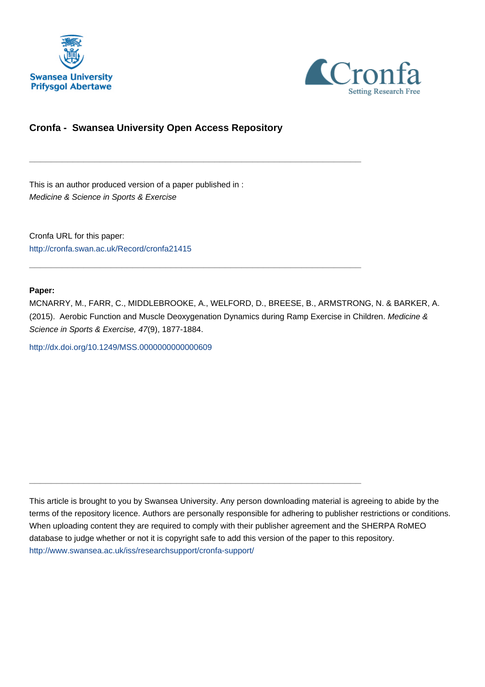



# **Cronfa - Swansea University Open Access Repository**

\_\_\_\_\_\_\_\_\_\_\_\_\_\_\_\_\_\_\_\_\_\_\_\_\_\_\_\_\_\_\_\_\_\_\_\_\_\_\_\_\_\_\_\_\_\_\_\_\_\_\_\_\_\_\_\_\_\_\_\_\_

 $\_$  , and the set of the set of the set of the set of the set of the set of the set of the set of the set of the set of the set of the set of the set of the set of the set of the set of the set of the set of the set of th

\_\_\_\_\_\_\_\_\_\_\_\_\_\_\_\_\_\_\_\_\_\_\_\_\_\_\_\_\_\_\_\_\_\_\_\_\_\_\_\_\_\_\_\_\_\_\_\_\_\_\_\_\_\_\_\_\_\_\_\_\_

This is an author produced version of a paper published in : Medicine & Science in Sports & Exercise

Cronfa URL for this paper: <http://cronfa.swan.ac.uk/Record/cronfa21415>

#### **Paper:**

MCNARRY, M., FARR, C., MIDDLEBROOKE, A., WELFORD, D., BREESE, B., ARMSTRONG, N. & BARKER, A. (2015). Aerobic Function and Muscle Deoxygenation Dynamics during Ramp Exercise in Children. Medicine & Science in Sports & Exercise, 47(9), 1877-1884.

<http://dx.doi.org/10.1249/MSS.0000000000000609>

This article is brought to you by Swansea University. Any person downloading material is agreeing to abide by the terms of the repository licence. Authors are personally responsible for adhering to publisher restrictions or conditions. When uploading content they are required to comply with their publisher agreement and the SHERPA RoMEO database to judge whether or not it is copyright safe to add this version of the paper to this repository. [http://www.swansea.ac.uk/iss/researchsupport/cronfa-support/](http://www.swansea.ac.uk/iss/researchsupport/cronfa-support/ )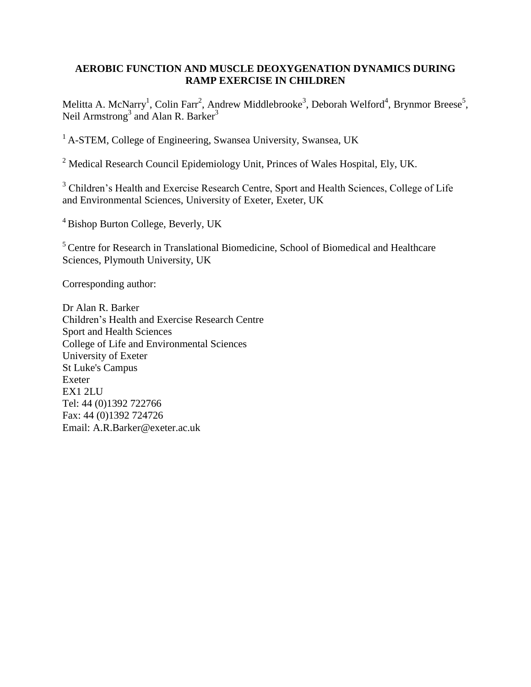## **AEROBIC FUNCTION AND MUSCLE DEOXYGENATION DYNAMICS DURING RAMP EXERCISE IN CHILDREN**

Melitta A. McNarry<sup>1</sup>, Colin Farr<sup>2</sup>, Andrew Middlebrooke<sup>3</sup>, Deborah Welford<sup>4</sup>, Brynmor Breese<sup>5</sup>, Neil Armstrong<sup>3</sup> and Alan R. Barker<sup>3</sup>

<sup>1</sup> A-STEM, College of Engineering, Swansea University, Swansea, UK

<sup>2</sup> Medical Research Council Epidemiology Unit, Princes of Wales Hospital, Ely, UK.

<sup>3</sup> Children's Health and Exercise Research Centre, Sport and Health Sciences, College of Life and Environmental Sciences, University of Exeter, Exeter, UK

<sup>4</sup> Bishop Burton College, Beverly, UK

<sup>5</sup> Centre for Research in Translational Biomedicine, School of Biomedical and Healthcare Sciences, Plymouth University, UK

Corresponding author:

Dr Alan R. Barker Children's Health and Exercise Research Centre Sport and Health Sciences College of Life and Environmental Sciences University of Exeter St Luke's Campus Exeter EX1 2LU Tel: 44 (0)1392 722766 Fax: 44 (0)1392 724726 Email: A.R.Barker@exeter.ac.uk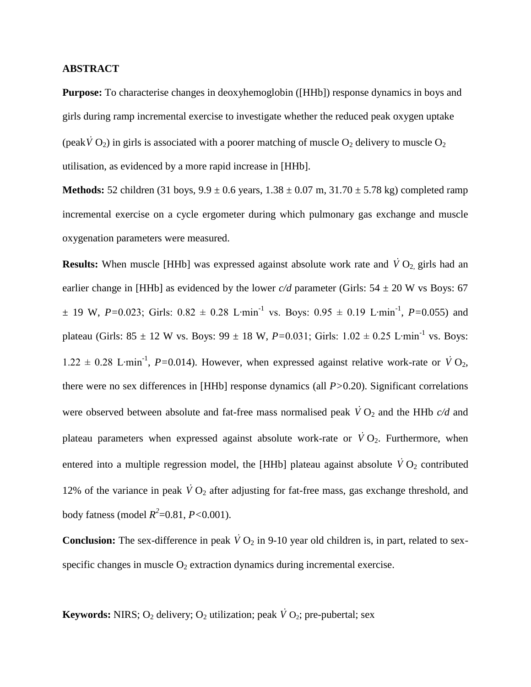#### **ABSTRACT**

**Purpose:** To characterise changes in deoxyhemoglobin ([HHb]) response dynamics in boys and girls during ramp incremental exercise to investigate whether the reduced peak oxygen uptake (peak  $\dot{V}$  O<sub>2</sub>) in girls is associated with a poorer matching of muscle O<sub>2</sub> delivery to muscle O<sub>2</sub> utilisation, as evidenced by a more rapid increase in [HHb].

**Methods:** 52 children (31 boys, 9.9 ± 0.6 years, 1.38 ± 0.07 m, 31.70 ± 5.78 kg) completed ramp incremental exercise on a cycle ergometer during which pulmonary gas exchange and muscle oxygenation parameters were measured.

**Results:** When muscle [HHb] was expressed against absolute work rate and  $\dot{V}O_2$ , girls had an earlier change in [HHb] as evidenced by the lower  $c/d$  parameter (Girls:  $54 \pm 20$  W vs Boys: 67 ± 19 W, *P=*0.023; Girls: 0.82 ± 0.28 L∙min-1 vs. Boys: 0.95 ± 0.19 L∙min-1 , *P=*0.055) and plateau (Girls: 85 ± 12 W vs. Boys: 99 ± 18 W,  $P=0.031$ ; Girls: 1.02 ± 0.25 L⋅min<sup>-1</sup> vs. Boys: 1.22 ± 0.28 L⋅min<sup>-1</sup>, P=0.014). However, when expressed against relative work-rate or  $\dot{V}O_2$ , there were no sex differences in [HHb] response dynamics (all *P>*0.20). Significant correlations were observed between absolute and fat-free mass normalised peak  $\dot{V}O_2$  and the HHb  $c/d$  and plateau parameters when expressed against absolute work-rate or  $\dot{V}O_2$ . Furthermore, when entered into a multiple regression model, the [HHb] plateau against absolute  $\dot{V}O_2$  contributed 12% of the variance in peak  $\dot{V}O_2$  after adjusting for fat-free mass, gas exchange threshold, and body fatness (model *R 2* =0.81, *P<*0.001).

**Conclusion:** The sex-difference in peak  $\dot{V}O_2$  in 9-10 year old children is, in part, related to sexspecific changes in muscle  $O_2$  extraction dynamics during incremental exercise.

**Keywords:** NIRS;  $O_2$  delivery;  $O_2$  utilization; peak  $\dot{V}O_2$ ; pre-pubertal; sex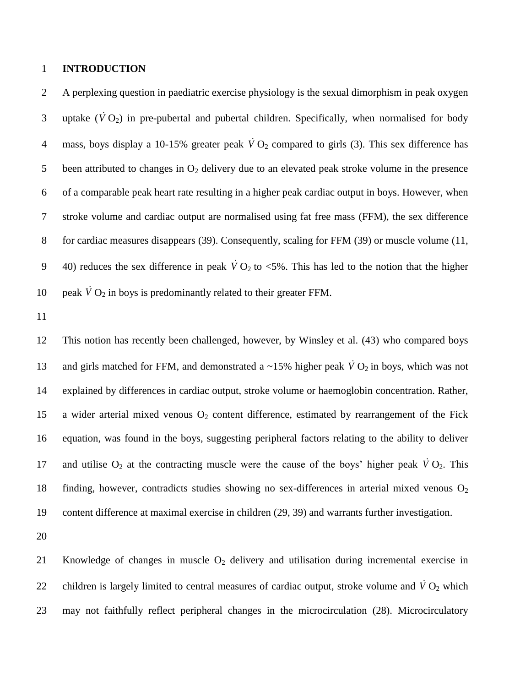## 1 **INTRODUCTION**

2 A perplexing question in paediatric exercise physiology is the sexual dimorphism in peak oxygen 3 uptake  $(\dot{V} O_2)$  in pre-pubertal and pubertal children. Specifically, when normalised for body 4 mass, boys display a 10-15% greater peak  $\dot{V}O_2$  compared to girls (3). This sex difference has 5 been attributed to changes in  $O_2$  delivery due to an elevated peak stroke volume in the presence 6 of a comparable peak heart rate resulting in a higher peak cardiac output in boys. However, when 7 stroke volume and cardiac output are normalised using fat free mass (FFM), the sex difference 8 for cardiac measures disappears (39). Consequently, scaling for FFM (39) or muscle volume (11, 9 40) reduces the sex difference in peak  $\dot{V}O_2$  to <5%. This has led to the notion that the higher 10 peak  $\dot{V} O_2$  in boys is predominantly related to their greater FFM.

11

12 This notion has recently been challenged, however, by Winsley et al. (43) who compared boys 13 and girls matched for FFM, and demonstrated a ~15% higher peak  $\dot{V}O_2$  in boys, which was not 14 explained by differences in cardiac output, stroke volume or haemoglobin concentration. Rather, 15 a wider arterial mixed venous  $O_2$  content difference, estimated by rearrangement of the Fick 16 equation, was found in the boys, suggesting peripheral factors relating to the ability to deliver 17 and utilise  $O_2$  at the contracting muscle were the cause of the boys' higher peak  $\dot{V}O_2$ . This 18 finding, however, contradicts studies showing no sex-differences in arterial mixed venous  $O_2$ 19 content difference at maximal exercise in children (29, 39) and warrants further investigation.

20

21 Knowledge of changes in muscle O<sub>2</sub> delivery and utilisation during incremental exercise in 22 children is largely limited to central measures of cardiac output, stroke volume and  $\dot{V}O_2$  which 23 may not faithfully reflect peripheral changes in the microcirculation (28). Microcirculatory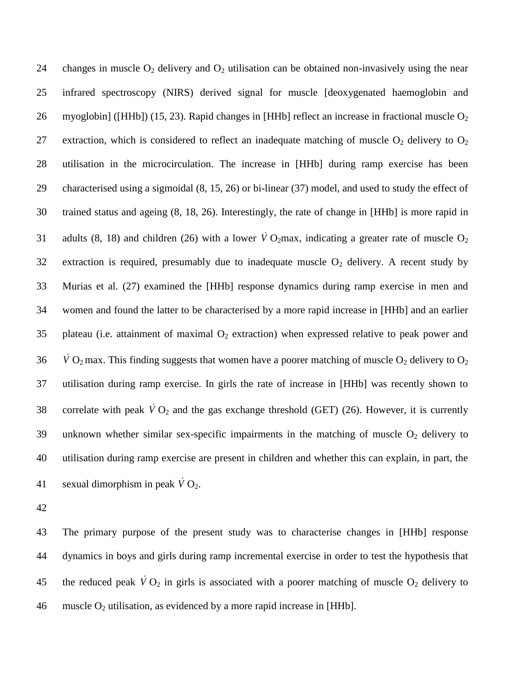24 changes in muscle  $O_2$  delivery and  $O_2$  utilisation can be obtained non-invasively using the near 25 infrared spectroscopy (NIRS) derived signal for muscle [deoxygenated haemoglobin and 26 myoglobin] ([HHb]) (15, 23). Rapid changes in [HHb] reflect an increase in fractional muscle  $O_2$ 27 extraction, which is considered to reflect an inadequate matching of muscle  $O_2$  delivery to  $O_2$ 28 utilisation in the microcirculation. The increase in [HHb] during ramp exercise has been 29 characterised using a sigmoidal (8, 15, 26) or bi-linear (37) model, and used to study the effect of 30 trained status and ageing (8, 18, 26). Interestingly, the rate of change in [HHb] is more rapid in 31 adults (8, 18) and children (26) with a lower  $\dot{V}O_2$ max, indicating a greater rate of muscle  $O_2$ 32 extraction is required, presumably due to inadequate muscle  $O_2$  delivery. A recent study by 33 Murias et al. (27) examined the [HHb] response dynamics during ramp exercise in men and 34 women and found the latter to be characterised by a more rapid increase in [HHb] and an earlier 35 plateau (i.e. attainment of maximal  $O_2$  extraction) when expressed relative to peak power and 36  $\dot{V}$  O<sub>2</sub> max. This finding suggests that women have a poorer matching of muscle O<sub>2</sub> delivery to O<sub>2</sub> 37 utilisation during ramp exercise. In girls the rate of increase in [HHb] was recently shown to 38 correlate with peak  $\dot{V}O_2$  and the gas exchange threshold (GET) (26). However, it is currently 39 unknown whether similar sex-specific impairments in the matching of muscle  $O_2$  delivery to 40 utilisation during ramp exercise are present in children and whether this can explain, in part, the 41 sexual dimorphism in peak  $\dot{V}$  O<sub>2</sub>.

42

43 The primary purpose of the present study was to characterise changes in [HHb] response 44 dynamics in boys and girls during ramp incremental exercise in order to test the hypothesis that 45 the reduced peak  $\dot{V}O_2$  in girls is associated with a poorer matching of muscle  $O_2$  delivery to 46 muscle  $O_2$  utilisation, as evidenced by a more rapid increase in [HHb].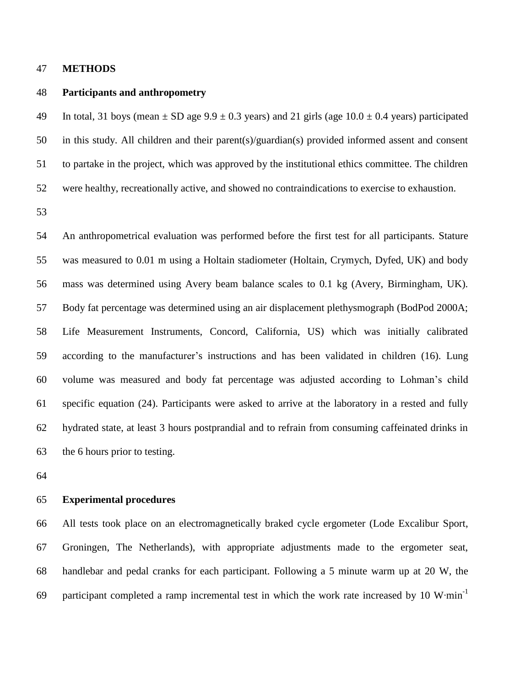#### **METHODS**

#### **Participants and anthropometry**

49 In total, 31 boys (mean  $\pm$  SD age 9.9  $\pm$  0.3 years) and 21 girls (age 10.0  $\pm$  0.4 years) participated in this study. All children and their parent(s)/guardian(s) provided informed assent and consent to partake in the project, which was approved by the institutional ethics committee. The children were healthy, recreationally active, and showed no contraindications to exercise to exhaustion.

 An anthropometrical evaluation was performed before the first test for all participants. Stature was measured to 0.01 m using a Holtain stadiometer (Holtain, Crymych, Dyfed, UK) and body mass was determined using Avery beam balance scales to 0.1 kg (Avery, Birmingham, UK). Body fat percentage was determined using an air displacement plethysmograph (BodPod 2000A; Life Measurement Instruments, Concord, California, US) which was initially calibrated according to the manufacturer's instructions and has been validated in children (16). Lung volume was measured and body fat percentage was adjusted according to Lohman's child specific equation (24). Participants were asked to arrive at the laboratory in a rested and fully hydrated state, at least 3 hours postprandial and to refrain from consuming caffeinated drinks in the 6 hours prior to testing.

#### **Experimental procedures**

 All tests took place on an electromagnetically braked cycle ergometer (Lode Excalibur Sport, Groningen, The Netherlands), with appropriate adjustments made to the ergometer seat, handlebar and pedal cranks for each participant. Following a 5 minute warm up at 20 W, the participant completed a ramp incremental test in which the work rate increased by 10 W⋅min<sup>-1</sup>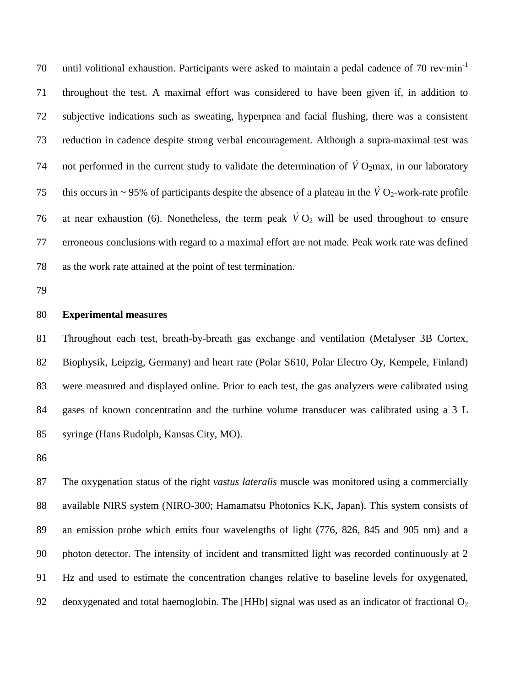until volitional exhaustion. Participants were asked to maintain a pedal cadence of 70 rev∙min<sup>-1</sup> throughout the test. A maximal effort was considered to have been given if, in addition to subjective indications such as sweating, hyperpnea and facial flushing, there was a consistent reduction in cadence despite strong verbal encouragement. Although a supra-maximal test was 74 not performed in the current study to validate the determination of  $\dot{V}O_2$  max, in our laboratory 75 this occurs in  $\sim$  95% of participants despite the absence of a plateau in the  $\dot{V}O_2$ -work-rate profile 76 at near exhaustion (6). Nonetheless, the term peak  $\dot{V}O_2$  will be used throughout to ensure erroneous conclusions with regard to a maximal effort are not made. Peak work rate was defined as the work rate attained at the point of test termination.

## **Experimental measures**

 Throughout each test, breath-by-breath gas exchange and ventilation (Metalyser 3B Cortex, Biophysik, Leipzig, Germany) and heart rate (Polar S610, Polar Electro Oy, Kempele, Finland) were measured and displayed online. Prior to each test, the gas analyzers were calibrated using gases of known concentration and the turbine volume transducer was calibrated using a 3 L syringe (Hans Rudolph, Kansas City, MO).

 The oxygenation status of the right *vastus lateralis* muscle was monitored using a commercially available NIRS system (NIRO-300; Hamamatsu Photonics K.K, Japan). This system consists of an emission probe which emits four wavelengths of light (776, 826, 845 and 905 nm) and a photon detector. The intensity of incident and transmitted light was recorded continuously at 2 Hz and used to estimate the concentration changes relative to baseline levels for oxygenated, 92 deoxygenated and total haemoglobin. The [HHb] signal was used as an indicator of fractional  $O_2$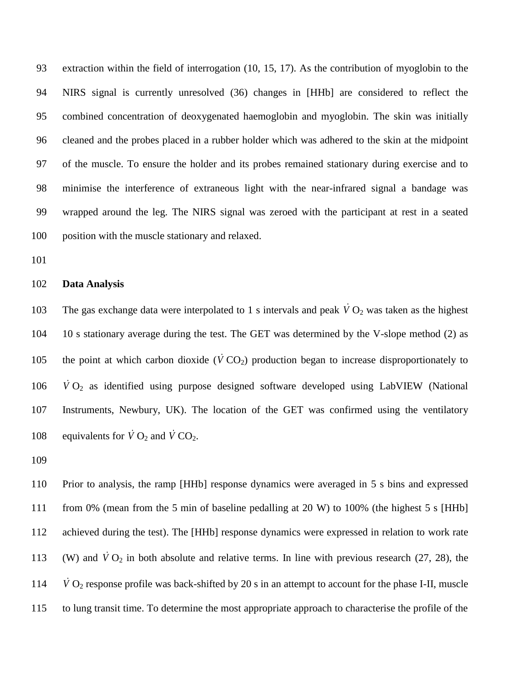extraction within the field of interrogation (10, 15, 17). As the contribution of myoglobin to the NIRS signal is currently unresolved (36) changes in [HHb] are considered to reflect the combined concentration of deoxygenated haemoglobin and myoglobin. The skin was initially cleaned and the probes placed in a rubber holder which was adhered to the skin at the midpoint of the muscle. To ensure the holder and its probes remained stationary during exercise and to minimise the interference of extraneous light with the near-infrared signal a bandage was wrapped around the leg. The NIRS signal was zeroed with the participant at rest in a seated position with the muscle stationary and relaxed.

#### **Data Analysis**

103 The gas exchange data were interpolated to 1 s intervals and peak  $\dot{V}O_2$  was taken as the highest 10 s stationary average during the test. The GET was determined by the V-slope method (2) as 105 the point at which carbon dioxide  $(\dot{V} \text{CO}_2)$  production began to increase disproportionately to  $\dot{V}$  O<sub>2</sub> as identified using purpose designed software developed using LabVIEW (National Instruments, Newbury, UK). The location of the GET was confirmed using the ventilatory 108 equivalents for  $\dot{V} O_2$  and  $\dot{V} CO_2$ .

 Prior to analysis, the ramp [HHb] response dynamics were averaged in 5 s bins and expressed from 0% (mean from the 5 min of baseline pedalling at 20 W) to 100% (the highest 5 s [HHb] achieved during the test). The [HHb] response dynamics were expressed in relation to work rate 113 (W) and  $\dot{V}O_2$  in both absolute and relative terms. In line with previous research (27, 28), the  $\dot{V}$  O<sub>2</sub> response profile was back-shifted by 20 s in an attempt to account for the phase I-II, muscle to lung transit time. To determine the most appropriate approach to characterise the profile of the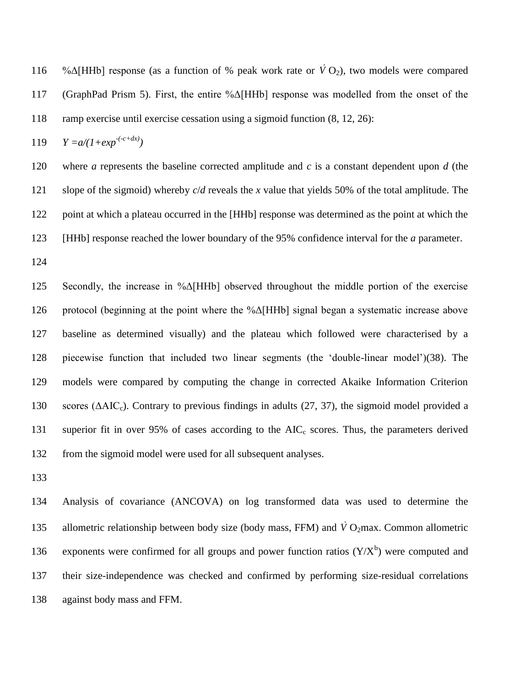116 %Δ[HHb] response (as a function of % peak work rate or  $\dot{V}O_2$ ), two models were compared (GraphPad Prism 5). First, the entire %Δ[HHb] response was modelled from the onset of the ramp exercise until exercise cessation using a sigmoid function (8, 12, 26):

119  $Y = a/(1 + exp^{-(c+dx)})$ 

 where *a* represents the baseline corrected amplitude and *c* is a constant dependent upon *d* (the slope of the sigmoid) whereby *c*/*d* reveals the *x* value that yields 50% of the total amplitude. The 122 point at which a plateau occurred in the [HHb] response was determined as the point at which the [HHb] response reached the lower boundary of the 95% confidence interval for the *a* parameter.

 Secondly, the increase in %Δ[HHb] observed throughout the middle portion of the exercise protocol (beginning at the point where the %Δ[HHb] signal began a systematic increase above baseline as determined visually) and the plateau which followed were characterised by a piecewise function that included two linear segments (the 'double-linear model')(38). The models were compared by computing the change in corrected Akaike Information Criterion 130 scores ( $\triangle AIC_c$ ). Contrary to previous findings in adults (27, 37), the sigmoid model provided a 131 superior fit in over 95% of cases according to the  $AIC_c$  scores. Thus, the parameters derived from the sigmoid model were used for all subsequent analyses.

 Analysis of covariance (ANCOVA) on log transformed data was used to determine the 135 allometric relationship between body size (body mass, FFM) and  $\dot{V}O_2$ max. Common allometric 136 exponents were confirmed for all groups and power function ratios  $(Y/X^b)$  were computed and their size-independence was checked and confirmed by performing size-residual correlations against body mass and FFM.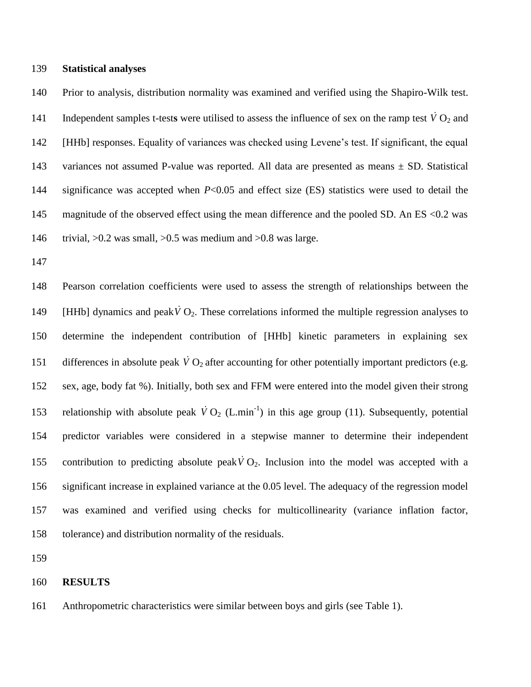#### **Statistical analyses**

 Prior to analysis, distribution normality was examined and verified using the Shapiro-Wilk test. 141 Independent samples t-tests were utilised to assess the influence of sex on the ramp test  $\dot{V}O_2$  and [HHb] responses. Equality of variances was checked using Levene's test. If significant, the equal 143 variances not assumed P-value was reported. All data are presented as means  $\pm$  SD. Statistical significance was accepted when *P*<0.05 and effect size (ES) statistics were used to detail the magnitude of the observed effect using the mean difference and the pooled SD. An ES <0.2 was trivial, >0.2 was small, >0.5 was medium and >0.8 was large.

 Pearson correlation coefficients were used to assess the strength of relationships between the 149 [HHb] dynamics and peak  $\dot{V} O_2$ . These correlations informed the multiple regression analyses to determine the independent contribution of [HHb] kinetic parameters in explaining sex 151 differences in absolute peak  $\dot{V}O_2$  after accounting for other potentially important predictors (e.g. sex, age, body fat %). Initially, both sex and FFM were entered into the model given their strong 153 relationship with absolute peak  $\dot{V}O_2$  (L.min<sup>-1</sup>) in this age group (11). Subsequently, potential predictor variables were considered in a stepwise manner to determine their independent 155 contribution to predicting absolute peak  $\dot{V}O_2$ . Inclusion into the model was accepted with a significant increase in explained variance at the 0.05 level. The adequacy of the regression model was examined and verified using checks for multicollinearity (variance inflation factor, tolerance) and distribution normality of the residuals.

#### **RESULTS**

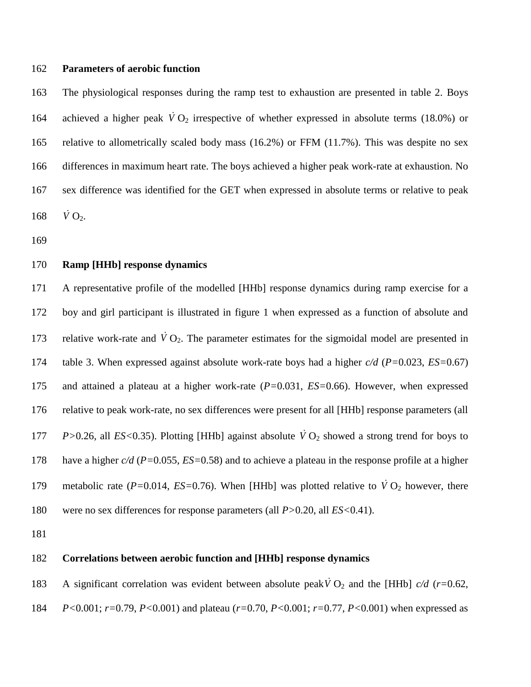#### **Parameters of aerobic function**

 The physiological responses during the ramp test to exhaustion are presented in table 2. Boys 164 achieved a higher peak  $\dot{V}O_2$  irrespective of whether expressed in absolute terms (18.0%) or relative to allometrically scaled body mass (16.2%) or FFM (11.7%). This was despite no sex differences in maximum heart rate. The boys achieved a higher peak work-rate at exhaustion. No sex difference was identified for the GET when expressed in absolute terms or relative to peak  $\dot{V}$  O<sub>2</sub>.

## **Ramp [HHb] response dynamics**

 A representative profile of the modelled [HHb] response dynamics during ramp exercise for a boy and girl participant is illustrated in figure 1 when expressed as a function of absolute and 173 relative work-rate and  $\dot{V}O_2$ . The parameter estimates for the sigmoidal model are presented in table 3. When expressed against absolute work-rate boys had a higher *c/d* (*P=*0.023, *ES=*0.67) and attained a plateau at a higher work-rate (*P=*0.031, *ES=*0.66). However, when expressed relative to peak work-rate, no sex differences were present for all [HHb] response parameters (all *P*>0.26, all *ES*<0.35). Plotting [HHb] against absolute  $\dot{V}O_2$  showed a strong trend for boys to have a higher *c/d* (*P=*0.055, *ES=*0.58) and to achieve a plateau in the response profile at a higher 179 metabolic rate ( $P=0.014$ ,  $ES=0.76$ ). When [HHb] was plotted relative to  $\dot{V}O_2$  however, there were no sex differences for response parameters (all *P>*0.20, all *ES<*0.41).

## **Correlations between aerobic function and [HHb] response dynamics**

183 A significant correlation was evident between absolute peak  $\dot{V}O_2$  and the [HHb]  $c/d$  (*r*=0.62,

*P<*0.001; *r=*0.79, *P<*0.001) and plateau (*r=*0.70, *P<*0.001; *r=*0.77, *P<*0.001) when expressed as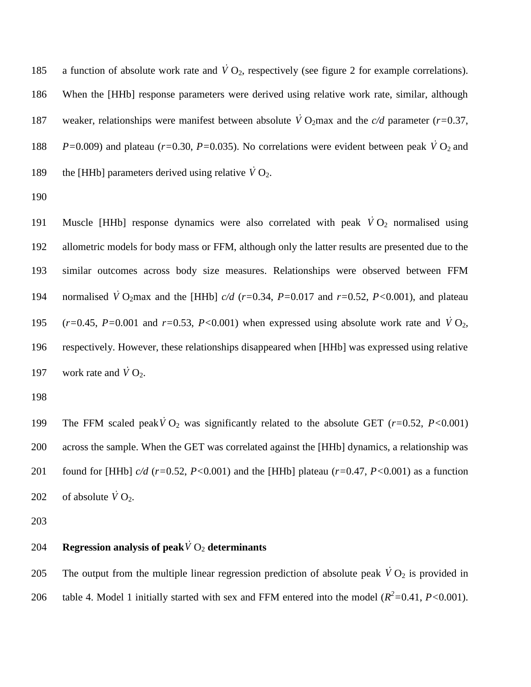185 a function of absolute work rate and  $\dot{V}O_2$ , respectively (see figure 2 for example correlations). 186 When the [HHb] response parameters were derived using relative work rate, similar, although 187 weaker, relationships were manifest between absolute  $\dot{V}O_2$  max and the *c/d* parameter (*r*=0.37, 188  $P=0.009$ ) and plateau ( $r=0.30$ ,  $P=0.035$ ). No correlations were evident between peak  $\dot{V}O_2$  and 189 the [HHb] parameters derived using relative  $\dot{V} O_2$ .

190

191 Muscle [HHb] response dynamics were also correlated with peak  $\dot{V}O_2$  normalised using 192 allometric models for body mass or FFM, although only the latter results are presented due to the 193 similar outcomes across body size measures. Relationships were observed between FFM 194 normalised  $\dot{V}$  O<sub>2</sub>max and the [HHb]  $c/d$  ( $r=0.34$ ,  $P=0.017$  and  $r=0.52$ ,  $P<0.001$ ), and plateau 195  $(r=0.45, P=0.001$  and  $r=0.53, P<0.001$ ) when expressed using absolute work rate and  $\dot{V}O_2$ , 196 respectively. However, these relationships disappeared when [HHb] was expressed using relative 197 work rate and  $\dot{V}$  O<sub>2</sub>.

198

199 The FFM scaled peak  $\dot{V}O_2$  was significantly related to the absolute GET ( $r=0.52$ ,  $P<0.001$ ) 200 across the sample. When the GET was correlated against the [HHb] dynamics, a relationship was 201 found for [HHb] *c/d* (*r=*0.52, *P<*0.001) and the [HHb] plateau (*r=*0.47, *P<*0.001) as a function 202 of absolute  $\dot{V}$  O<sub>2</sub>.

203

# 204 Regression analysis of peak  $\dot{V}$  O<sub>2</sub> determinants

205 The output from the multiple linear regression prediction of absolute peak  $\dot{V}O_2$  is provided in 206 table 4. Model 1 initially started with sex and FFM entered into the model  $(R^2=0.41, P<0.001)$ .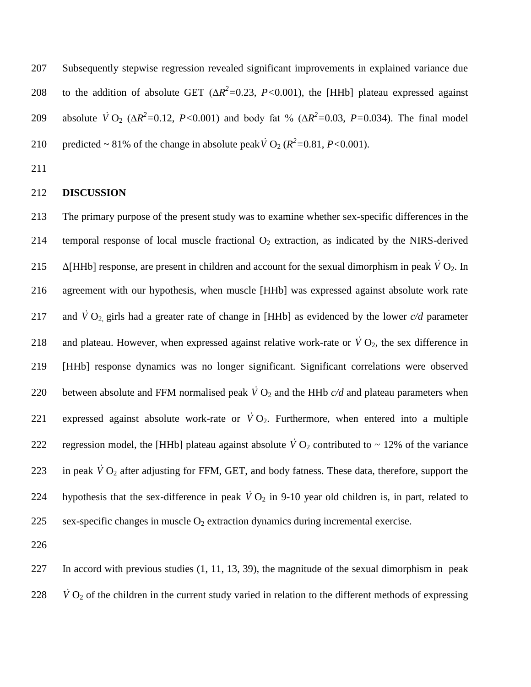207 Subsequently stepwise regression revealed significant improvements in explained variance due 208 to the addition of absolute GET ( $\Delta R^2$ =0.23, *P*<0.001), the [HHb] plateau expressed against 209 absolute  $\dot{V} O_2$  ( $\Delta R^2 = 0.12$ , *P*<0.001) and body fat % ( $\Delta R^2 = 0.03$ , *P*=0.034). The final model 210 predicted ~ 81% of the change in absolute peak  $\dot{V}$  O<sub>2</sub> ( $R^2$  = 0.81, *P* < 0.001).

211

#### 212 **DISCUSSION**

213 The primary purpose of the present study was to examine whether sex-specific differences in the 214 temporal response of local muscle fractional  $O_2$  extraction, as indicated by the NIRS-derived 215  $\Delta$ [HHb] response, are present in children and account for the sexual dimorphism in peak  $\dot{V}O_2$ . In 216 agreement with our hypothesis, when muscle [HHb] was expressed against absolute work rate 217 and  $\dot{V} O_2$  girls had a greater rate of change in [HHb] as evidenced by the lower  $c/d$  parameter 218 and plateau. However, when expressed against relative work-rate or  $\dot{V}O_2$ , the sex difference in 219 [HHb] response dynamics was no longer significant. Significant correlations were observed 220 between absolute and FFM normalised peak  $\dot{V}O_2$  and the HHb  $c/d$  and plateau parameters when 221 expressed against absolute work-rate or  $\dot{V}O_2$ . Furthermore, when entered into a multiple 222 regression model, the [HHb] plateau against absolute  $\dot{V}O_2$  contributed to ~ 12% of the variance 223 in peak  $\dot{V}O_2$  after adjusting for FFM, GET, and body fatness. These data, therefore, support the 224 hypothesis that the sex-difference in peak  $\dot{V}O_2$  in 9-10 year old children is, in part, related to 225 sex-specific changes in muscle  $O_2$  extraction dynamics during incremental exercise.

226

227 In accord with previous studies (1, 11, 13, 39), the magnitude of the sexual dimorphism in peak 228  $\dot{V}$  O<sub>2</sub> of the children in the current study varied in relation to the different methods of expressing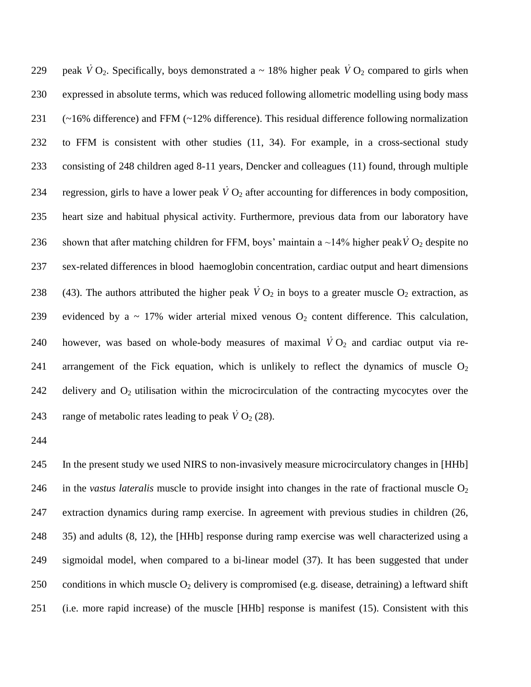229 peak  $\dot{V}O_2$ . Specifically, boys demonstrated a ~ 18% higher peak  $\dot{V}O_2$  compared to girls when 230 expressed in absolute terms, which was reduced following allometric modelling using body mass 231 (~16% difference) and FFM (~12% difference). This residual difference following normalization 232 to FFM is consistent with other studies (11, 34). For example, in a cross-sectional study 233 consisting of 248 children aged 8-11 years, Dencker and colleagues (11) found, through multiple 234 regression, girls to have a lower peak  $\dot{V}O_2$  after accounting for differences in body composition, 235 heart size and habitual physical activity. Furthermore, previous data from our laboratory have 236 shown that after matching children for FFM, boys' maintain a  $\sim$ 14% higher peak  $\dot{V} O_2$  despite no 237 sex-related differences in blood haemoglobin concentration, cardiac output and heart dimensions 238 (43). The authors attributed the higher peak  $\dot{V}O_2$  in boys to a greater muscle  $O_2$  extraction, as 239 evidenced by a  $\sim$  17% wider arterial mixed venous  $O_2$  content difference. This calculation, 240 however, was based on whole-body measures of maximal  $\dot{V}O_2$  and cardiac output via re-241 arrangement of the Fick equation, which is unlikely to reflect the dynamics of muscle  $O_2$ 242 delivery and  $O_2$  utilisation within the microcirculation of the contracting mycocytes over the 243 range of metabolic rates leading to peak  $\dot{V}$  O<sub>2</sub> (28).

244

245 In the present study we used NIRS to non-invasively measure microcirculatory changes in [HHb] 246 in the *vastus lateralis* muscle to provide insight into changes in the rate of fractional muscle  $O_2$ 247 extraction dynamics during ramp exercise. In agreement with previous studies in children (26, 248 35) and adults (8, 12), the [HHb] response during ramp exercise was well characterized using a 249 sigmoidal model, when compared to a bi-linear model (37). It has been suggested that under 250 conditions in which muscle  $O_2$  delivery is compromised (e.g. disease, detraining) a leftward shift 251 (i.e. more rapid increase) of the muscle [HHb] response is manifest (15). Consistent with this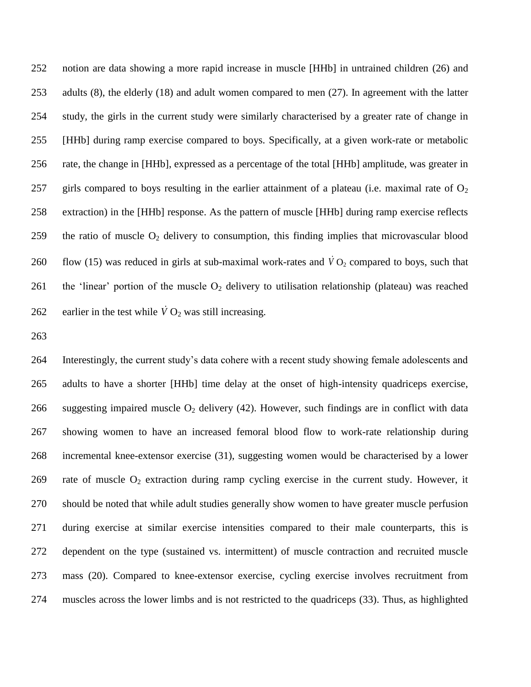notion are data showing a more rapid increase in muscle [HHb] in untrained children (26) and adults (8), the elderly (18) and adult women compared to men (27). In agreement with the latter study, the girls in the current study were similarly characterised by a greater rate of change in [HHb] during ramp exercise compared to boys. Specifically, at a given work-rate or metabolic rate, the change in [HHb], expressed as a percentage of the total [HHb] amplitude, was greater in 257 girls compared to boys resulting in the earlier attainment of a plateau (i.e. maximal rate of  $O_2$ ) extraction) in the [HHb] response. As the pattern of muscle [HHb] during ramp exercise reflects 259 the ratio of muscle  $O_2$  delivery to consumption, this finding implies that microvascular blood 260 flow (15) was reduced in girls at sub-maximal work-rates and  $\dot{V}O_2$  compared to boys, such that 261 the 'linear' portion of the muscle  $O_2$  delivery to utilisation relationship (plateau) was reached 262 earlier in the test while  $\dot{V}O_2$  was still increasing.

 Interestingly, the current study's data cohere with a recent study showing female adolescents and adults to have a shorter [HHb] time delay at the onset of high-intensity quadriceps exercise, 266 suggesting impaired muscle  $O_2$  delivery (42). However, such findings are in conflict with data showing women to have an increased femoral blood flow to work-rate relationship during incremental knee-extensor exercise (31), suggesting women would be characterised by a lower 269 rate of muscle  $O_2$  extraction during ramp cycling exercise in the current study. However, it should be noted that while adult studies generally show women to have greater muscle perfusion during exercise at similar exercise intensities compared to their male counterparts, this is dependent on the type (sustained vs. intermittent) of muscle contraction and recruited muscle mass (20). Compared to knee-extensor exercise, cycling exercise involves recruitment from muscles across the lower limbs and is not restricted to the quadriceps (33). Thus, as highlighted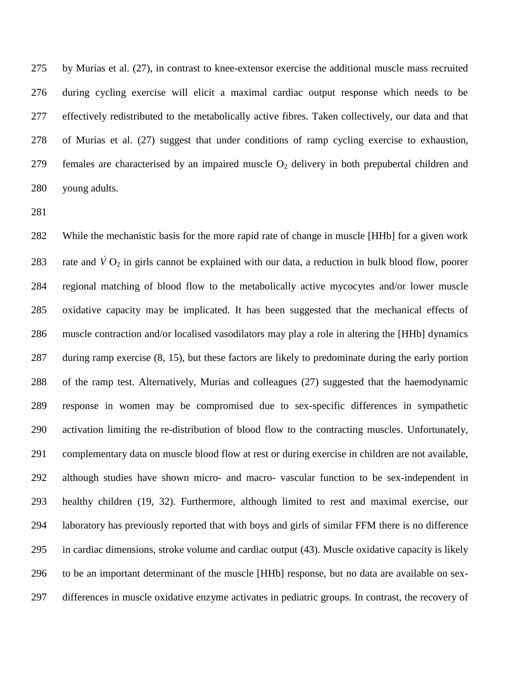by Murias et al. (27), in contrast to knee-extensor exercise the additional muscle mass recruited during cycling exercise will elicit a maximal cardiac output response which needs to be effectively redistributed to the metabolically active fibres. Taken collectively, our data and that of Murias et al. (27) suggest that under conditions of ramp cycling exercise to exhaustion, 279 females are characterised by an impaired muscle  $O_2$  delivery in both prepubertal children and young adults.

 While the mechanistic basis for the more rapid rate of change in muscle [HHb] for a given work 283 rate and  $\dot{V}O_2$  in girls cannot be explained with our data, a reduction in bulk blood flow, poorer regional matching of blood flow to the metabolically active mycocytes and/or lower muscle oxidative capacity may be implicated. It has been suggested that the mechanical effects of muscle contraction and/or localised vasodilators may play a role in altering the [HHb] dynamics during ramp exercise (8, 15), but these factors are likely to predominate during the early portion of the ramp test. Alternatively, Murias and colleagues (27) suggested that the haemodynamic response in women may be compromised due to sex-specific differences in sympathetic activation limiting the re-distribution of blood flow to the contracting muscles. Unfortunately, complementary data on muscle blood flow at rest or during exercise in children are not available, although studies have shown micro- and macro- vascular function to be sex-independent in healthy children (19, 32). Furthermore, although limited to rest and maximal exercise, our laboratory has previously reported that with boys and girls of similar FFM there is no difference in cardiac dimensions, stroke volume and cardiac output (43). Muscle oxidative capacity is likely to be an important determinant of the muscle [HHb] response, but no data are available on sex-differences in muscle oxidative enzyme activates in pediatric groups. In contrast, the recovery of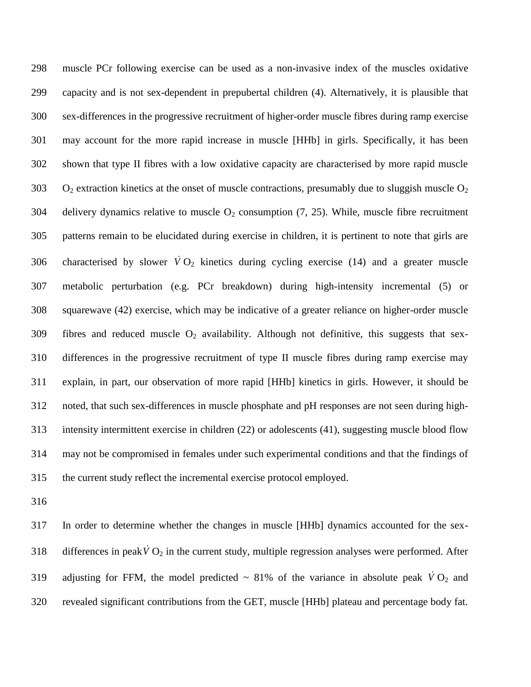muscle PCr following exercise can be used as a non-invasive index of the muscles oxidative capacity and is not sex-dependent in prepubertal children (4). Alternatively, it is plausible that sex-differences in the progressive recruitment of higher-order muscle fibres during ramp exercise may account for the more rapid increase in muscle [HHb] in girls. Specifically, it has been shown that type II fibres with a low oxidative capacity are characterised by more rapid muscle 303 O<sub>2</sub> extraction kinetics at the onset of muscle contractions, presumably due to sluggish muscle  $O_2$ 304 delivery dynamics relative to muscle  $O_2$  consumption (7, 25). While, muscle fibre recruitment patterns remain to be elucidated during exercise in children, it is pertinent to note that girls are 306 characterised by slower  $\dot{V}O_2$  kinetics during cycling exercise (14) and a greater muscle metabolic perturbation (e.g. PCr breakdown) during high-intensity incremental (5) or squarewave (42) exercise, which may be indicative of a greater reliance on higher-order muscle 309 fibres and reduced muscle  $O_2$  availability. Although not definitive, this suggests that sex- differences in the progressive recruitment of type II muscle fibres during ramp exercise may explain, in part, our observation of more rapid [HHb] kinetics in girls. However, it should be noted, that such sex-differences in muscle phosphate and pH responses are not seen during high- intensity intermittent exercise in children (22) or adolescents (41), suggesting muscle blood flow may not be compromised in females under such experimental conditions and that the findings of the current study reflect the incremental exercise protocol employed.

 In order to determine whether the changes in muscle [HHb] dynamics accounted for the sex-318 differences in peak  $\dot{V} O_2$  in the current study, multiple regression analyses were performed. After 319 adjusting for FFM, the model predicted  $\sim 81\%$  of the variance in absolute peak  $\dot{V}O_2$  and revealed significant contributions from the GET, muscle [HHb] plateau and percentage body fat.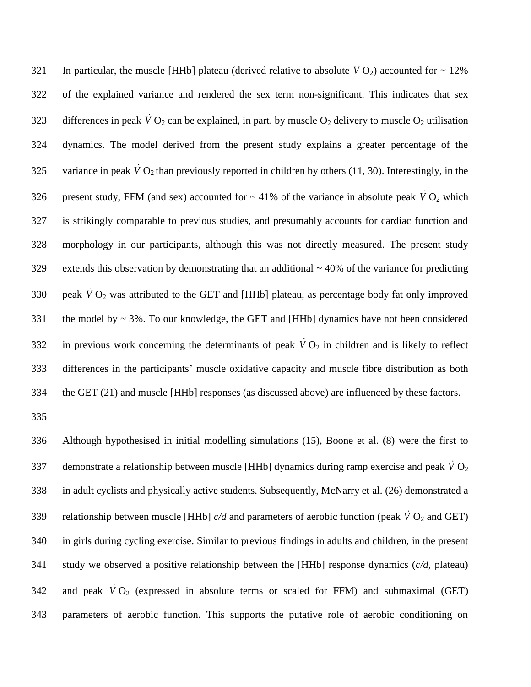321 In particular, the muscle [HHb] plateau (derived relative to absolute  $\dot{V} O_2$ ) accounted for  $\sim 12\%$  of the explained variance and rendered the sex term non-significant. This indicates that sex 323 differences in peak  $\dot{V}O_2$  can be explained, in part, by muscle  $O_2$  delivery to muscle  $O_2$  utilisation dynamics. The model derived from the present study explains a greater percentage of the 325 variance in peak  $\dot{V} O_2$  than previously reported in children by others (11, 30). Interestingly, in the 326 present study, FFM (and sex) accounted for  $\sim$  41% of the variance in absolute peak  $\dot{V}O_2$  which is strikingly comparable to previous studies, and presumably accounts for cardiac function and morphology in our participants, although this was not directly measured. The present study extends this observation by demonstrating that an additional ~ 40% of the variance for predicting 330 peak  $\dot{V}O_2$  was attributed to the GET and [HHb] plateau, as percentage body fat only improved the model by ~ 3%. To our knowledge, the GET and [HHb] dynamics have not been considered 332 in previous work concerning the determinants of peak  $\dot{V}O_2$  in children and is likely to reflect differences in the participants' muscle oxidative capacity and muscle fibre distribution as both the GET (21) and muscle [HHb] responses (as discussed above) are influenced by these factors.

 Although hypothesised in initial modelling simulations (15), Boone et al. (8) were the first to 337 demonstrate a relationship between muscle [HHb] dynamics during ramp exercise and peak  $\dot{V}$  O<sub>2</sub> in adult cyclists and physically active students. Subsequently, McNarry et al. (26) demonstrated a 339 relationship between muscle [HHb]  $c/d$  and parameters of aerobic function (peak  $\dot{V}O_2$  and GET) in girls during cycling exercise. Similar to previous findings in adults and children, in the present study we observed a positive relationship between the [HHb] response dynamics (*c/d,* plateau) 342 and peak  $\dot{V}O_2$  (expressed in absolute terms or scaled for FFM) and submaximal (GET) parameters of aerobic function. This supports the putative role of aerobic conditioning on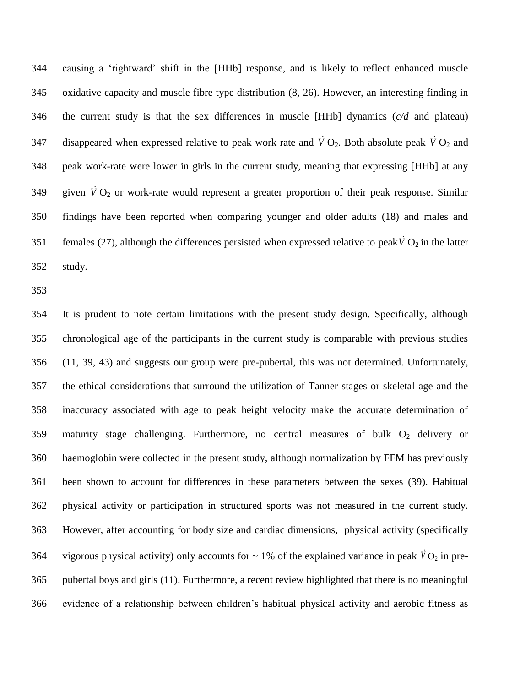causing a 'rightward' shift in the [HHb] response, and is likely to reflect enhanced muscle oxidative capacity and muscle fibre type distribution (8, 26). However, an interesting finding in the current study is that the sex differences in muscle [HHb] dynamics (*c/d* and plateau) 347 disappeared when expressed relative to peak work rate and  $\dot{V}O_2$ . Both absolute peak  $\dot{V}O_2$  and peak work-rate were lower in girls in the current study, meaning that expressing [HHb] at any 349 given  $\dot{V}O_2$  or work-rate would represent a greater proportion of their peak response. Similar findings have been reported when comparing younger and older adults (18) and males and 351 females (27), although the differences persisted when expressed relative to peak  $\dot{V} O_2$  in the latter study.

 It is prudent to note certain limitations with the present study design. Specifically, although chronological age of the participants in the current study is comparable with previous studies (11, 39, 43) and suggests our group were pre-pubertal, this was not determined. Unfortunately, the ethical considerations that surround the utilization of Tanner stages or skeletal age and the inaccuracy associated with age to peak height velocity make the accurate determination of 359 maturity stage challenging. Furthermore, no central measures of bulk O<sub>2</sub> delivery or haemoglobin were collected in the present study, although normalization by FFM has previously been shown to account for differences in these parameters between the sexes (39). Habitual physical activity or participation in structured sports was not measured in the current study. However, after accounting for body size and cardiac dimensions, physical activity (specifically vigorous physical activity) only accounts for  $\sim 1\%$  of the explained variance in peak  $\dot{V}O_2$  in pre- pubertal boys and girls (11). Furthermore, a recent review highlighted that there is no meaningful evidence of a relationship between children's habitual physical activity and aerobic fitness as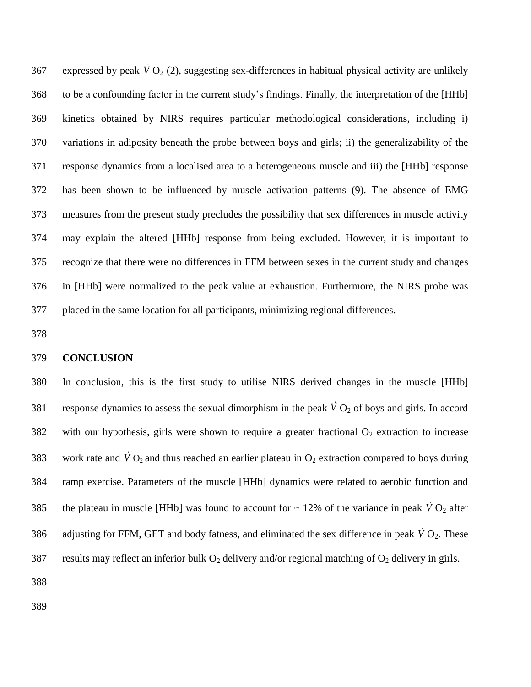367 expressed by peak  $\dot{V}O_2$  (2), suggesting sex-differences in habitual physical activity are unlikely to be a confounding factor in the current study's findings. Finally, the interpretation of the [HHb] kinetics obtained by NIRS requires particular methodological considerations, including i) variations in adiposity beneath the probe between boys and girls; ii) the generalizability of the response dynamics from a localised area to a heterogeneous muscle and iii) the [HHb] response has been shown to be influenced by muscle activation patterns (9). The absence of EMG measures from the present study precludes the possibility that sex differences in muscle activity may explain the altered [HHb] response from being excluded. However, it is important to recognize that there were no differences in FFM between sexes in the current study and changes in [HHb] were normalized to the peak value at exhaustion. Furthermore, the NIRS probe was placed in the same location for all participants, minimizing regional differences.

## **CONCLUSION**

 In conclusion, this is the first study to utilise NIRS derived changes in the muscle [HHb] 381 response dynamics to assess the sexual dimorphism in the peak  $\dot{V}O_2$  of boys and girls. In accord 382 with our hypothesis, girls were shown to require a greater fractional  $O_2$  extraction to increase 383 work rate and  $\dot{V}$  O<sub>2</sub> and thus reached an earlier plateau in O<sub>2</sub> extraction compared to boys during ramp exercise. Parameters of the muscle [HHb] dynamics were related to aerobic function and 385 the plateau in muscle [HHb] was found to account for  $\sim$  12% of the variance in peak  $\dot{V}O_2$  after 386 adjusting for FFM, GET and body fatness, and eliminated the sex difference in peak  $\dot{V}O_2$ . These 387 results may reflect an inferior bulk  $O_2$  delivery and/or regional matching of  $O_2$  delivery in girls.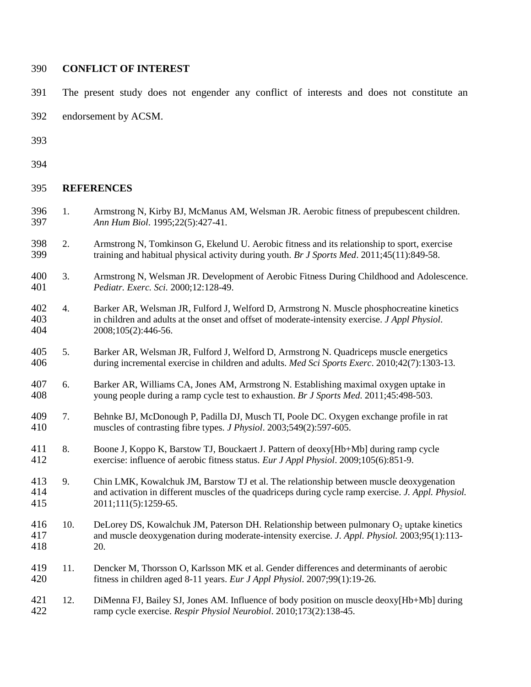## **CONFLICT OF INTEREST**

- The present study does not engender any conflict of interests and does not constitute an
- endorsement by ACSM.
- 
- 

## **REFERENCES**

- 1. Armstrong N, Kirby BJ, McManus AM, Welsman JR. Aerobic fitness of prepubescent children. *Ann Hum Biol*. 1995;22(5):427-41.
- 2. Armstrong N, Tomkinson G, Ekelund U. Aerobic fitness and its relationship to sport, exercise training and habitual physical activity during youth. *Br J Sports Med*. 2011;45(11):849-58.
- 3. Armstrong N, Welsman JR. Development of Aerobic Fitness During Childhood and Adolescence. *Pediatr. Exerc. Sci.* 2000;12:128-49.
- 4. Barker AR, Welsman JR, Fulford J, Welford D, Armstrong N. Muscle phosphocreatine kinetics in children and adults at the onset and offset of moderate-intensity exercise. *J Appl Physiol*. 2008;105(2):446-56.
- 5. Barker AR, Welsman JR, Fulford J, Welford D, Armstrong N. Quadriceps muscle energetics during incremental exercise in children and adults. *Med Sci Sports Exerc*. 2010;42(7):1303-13.
- 6. Barker AR, Williams CA, Jones AM, Armstrong N. Establishing maximal oxygen uptake in young people during a ramp cycle test to exhaustion. *Br J Sports Med*. 2011;45:498-503.
- 7. Behnke BJ, McDonough P, Padilla DJ, Musch TI, Poole DC. Oxygen exchange profile in rat muscles of contrasting fibre types. *J Physiol*. 2003;549(2):597-605.
- 8. Boone J, Koppo K, Barstow TJ, Bouckaert J. Pattern of deoxy[Hb+Mb] during ramp cycle exercise: influence of aerobic fitness status. *Eur J Appl Physiol*. 2009;105(6):851-9.
- 9. Chin LMK, Kowalchuk JM, Barstow TJ et al. The relationship between muscle deoxygenation and activation in different muscles of the quadriceps during cycle ramp exercise. *J. Appl. Physiol.* 2011;111(5):1259-65.
- 416 10. DeLorey DS, Kowalchuk JM, Paterson DH. Relationship between pulmonary  $O_2$  uptake kinetics<br>417 and muscle deoxygenation during moderate-intensity exercise. *J. Appl. Physiol.* 2003:95(1):113and muscle deoxygenation during moderate-intensity exercise. *J. Appl. Physiol.* 2003;95(1):113-20.
- 419 11. Dencker M, Thorsson O, Karlsson MK et al. Gender differences and determinants of aerobic<br>420 fitness in children aged 8-11 years. *Eur J Appl Physiol*. 2007:99(1):19-26. fitness in children aged 8-11 years. *Eur J Appl Physiol*. 2007;99(1):19-26.
- 12. DiMenna FJ, Bailey SJ, Jones AM. Influence of body position on muscle deoxy[Hb+Mb] during ramp cycle exercise. *Respir Physiol Neurobiol*. 2010;173(2):138-45.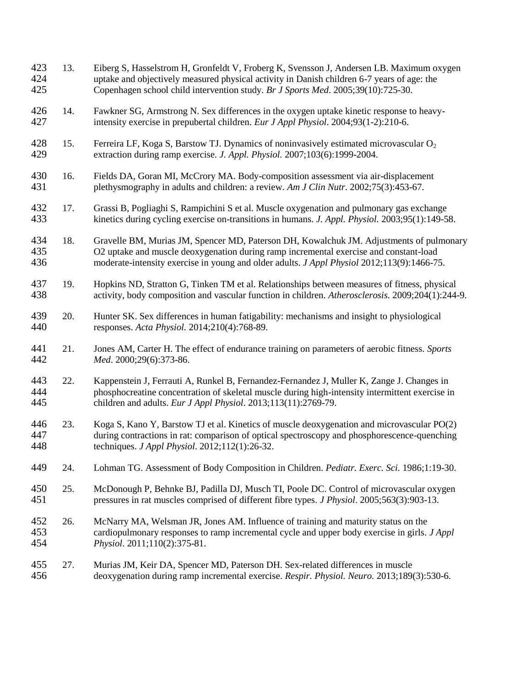| 423<br>424<br>425 | 13. | Eiberg S, Hasselstrom H, Gronfeldt V, Froberg K, Svensson J, Andersen LB. Maximum oxygen<br>uptake and objectively measured physical activity in Danish children 6-7 years of age: the<br>Copenhagen school child intervention study. Br J Sports Med. 2005;39(10):725-30.            |
|-------------------|-----|---------------------------------------------------------------------------------------------------------------------------------------------------------------------------------------------------------------------------------------------------------------------------------------|
| 426<br>427        | 14. | Fawkner SG, Armstrong N. Sex differences in the oxygen uptake kinetic response to heavy-<br>intensity exercise in prepubertal children. Eur J Appl Physiol. 2004;93(1-2):210-6.                                                                                                       |
| 428<br>429        | 15. | Ferreira LF, Koga S, Barstow TJ. Dynamics of noninvasively estimated microvascular O <sub>2</sub><br>extraction during ramp exercise. J. Appl. Physiol. 2007;103(6):1999-2004.                                                                                                        |
| 430<br>431        | 16. | Fields DA, Goran MI, McCrory MA. Body-composition assessment via air-displacement<br>plethysmography in adults and children: a review. Am J Clin Nutr. 2002;75(3):453-67.                                                                                                             |
| 432<br>433        | 17. | Grassi B, Pogliaghi S, Rampichini S et al. Muscle oxygenation and pulmonary gas exchange<br>kinetics during cycling exercise on-transitions in humans. J. Appl. Physiol. 2003;95(1):149-58.                                                                                           |
| 434<br>435<br>436 | 18. | Gravelle BM, Murias JM, Spencer MD, Paterson DH, Kowalchuk JM. Adjustments of pulmonary<br>O2 uptake and muscle deoxygenation during ramp incremental exercise and constant-load<br>moderate-intensity exercise in young and older adults. <i>J Appl Physiol</i> 2012;113(9):1466-75. |
| 437<br>438        | 19. | Hopkins ND, Stratton G, Tinken TM et al. Relationships between measures of fitness, physical<br>activity, body composition and vascular function in children. Atherosclerosis. 2009;204(1):244-9.                                                                                     |
| 439<br>440        | 20. | Hunter SK. Sex differences in human fatigability: mechanisms and insight to physiological<br>responses. Acta Physiol. 2014;210(4):768-89.                                                                                                                                             |
| 441<br>442        | 21. | Jones AM, Carter H. The effect of endurance training on parameters of aerobic fitness. Sports<br>Med. 2000;29(6):373-86.                                                                                                                                                              |
| 443<br>444<br>445 | 22. | Kappenstein J, Ferrauti A, Runkel B, Fernandez-Fernandez J, Muller K, Zange J. Changes in<br>phosphocreatine concentration of skeletal muscle during high-intensity intermittent exercise in<br>children and adults. Eur J Appl Physiol. 2013;113(11):2769-79.                        |
| 446<br>447<br>448 | 23. | Koga S, Kano Y, Barstow TJ et al. Kinetics of muscle deoxygenation and microvascular PO(2)<br>during contractions in rat: comparison of optical spectroscopy and phosphorescence-quenching<br>techniques. <i>J Appl Physiol</i> . 2012;112(1):26-32.                                  |
| 449               | 24. | Lohman TG. Assessment of Body Composition in Children. Pediatr. Exerc. Sci. 1986;1:19-30.                                                                                                                                                                                             |
| 450<br>451        | 25. | McDonough P, Behnke BJ, Padilla DJ, Musch TI, Poole DC. Control of microvascular oxygen<br>pressures in rat muscles comprised of different fibre types. <i>J Physiol</i> . 2005;563(3):903-13.                                                                                        |
| 452<br>453<br>454 | 26. | McNarry MA, Welsman JR, Jones AM. Influence of training and maturity status on the<br>cardiopulmonary responses to ramp incremental cycle and upper body exercise in girls. J Appl<br>Physiol. 2011;110(2):375-81.                                                                    |
| 455<br>456        | 27. | Murias JM, Keir DA, Spencer MD, Paterson DH. Sex-related differences in muscle<br>deoxygenation during ramp incremental exercise. Respir. Physiol. Neuro. 2013;189(3):530-6.                                                                                                          |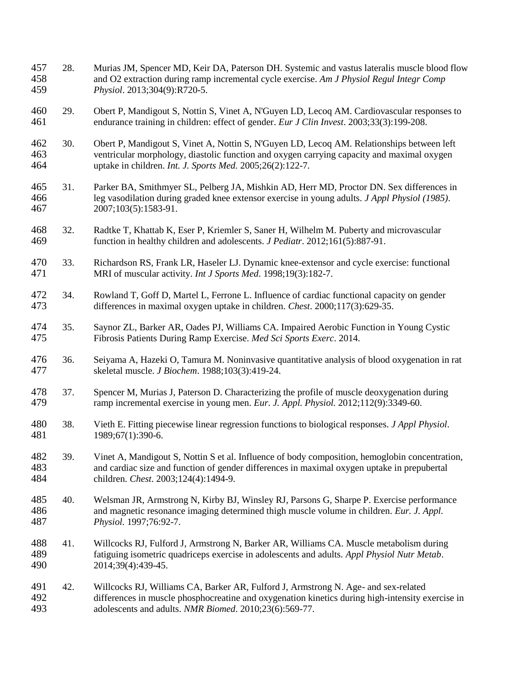| 457<br>458<br>459 | 28. | Murias JM, Spencer MD, Keir DA, Paterson DH. Systemic and vastus lateralis muscle blood flow<br>and O2 extraction during ramp incremental cycle exercise. Am J Physiol Regul Integr Comp<br>Physiol. 2013;304(9):R720-5.                             |
|-------------------|-----|------------------------------------------------------------------------------------------------------------------------------------------------------------------------------------------------------------------------------------------------------|
| 460<br>461        | 29. | Obert P, Mandigout S, Nottin S, Vinet A, N'Guyen LD, Lecoq AM. Cardiovascular responses to<br>endurance training in children: effect of gender. Eur J Clin Invest. 2003;33(3):199-208.                                                               |
| 462<br>463<br>464 | 30. | Obert P, Mandigout S, Vinet A, Nottin S, N'Guyen LD, Lecoq AM. Relationships between left<br>ventricular morphology, diastolic function and oxygen carrying capacity and maximal oxygen<br>uptake in children. Int. J. Sports Med. 2005;26(2):122-7. |
| 465<br>466<br>467 | 31. | Parker BA, Smithmyer SL, Pelberg JA, Mishkin AD, Herr MD, Proctor DN. Sex differences in<br>leg vasodilation during graded knee extensor exercise in young adults. J Appl Physiol (1985).<br>2007;103(5):1583-91.                                    |
| 468<br>469        | 32. | Radtke T, Khattab K, Eser P, Kriemler S, Saner H, Wilhelm M. Puberty and microvascular<br>function in healthy children and adolescents. <i>J Pediatr</i> . 2012;161(5):887-91.                                                                       |
| 470<br>471        | 33. | Richardson RS, Frank LR, Haseler LJ. Dynamic knee-extensor and cycle exercise: functional<br>MRI of muscular activity. Int J Sports Med. 1998;19(3):182-7.                                                                                           |
| 472<br>473        | 34. | Rowland T, Goff D, Martel L, Ferrone L. Influence of cardiac functional capacity on gender<br>differences in maximal oxygen uptake in children. Chest. 2000;117(3):629-35.                                                                           |
| 474<br>475        | 35. | Saynor ZL, Barker AR, Oades PJ, Williams CA. Impaired Aerobic Function in Young Cystic<br>Fibrosis Patients During Ramp Exercise. Med Sci Sports Exerc. 2014.                                                                                        |
| 476<br>477        | 36. | Seiyama A, Hazeki O, Tamura M. Noninvasive quantitative analysis of blood oxygenation in rat<br>skeletal muscle. J Biochem. 1988;103(3):419-24.                                                                                                      |
| 478<br>479        | 37. | Spencer M, Murias J, Paterson D. Characterizing the profile of muscle deoxygenation during<br>ramp incremental exercise in young men. Eur. J. Appl. Physiol. 2012;112(9):3349-60.                                                                    |
| 480<br>481        | 38. | Vieth E. Fitting piecewise linear regression functions to biological responses. J Appl Physiol.<br>1989;67(1):390-6.                                                                                                                                 |
| 482<br>483<br>484 | 39. | Vinet A, Mandigout S, Nottin S et al. Influence of body composition, hemoglobin concentration,<br>and cardiac size and function of gender differences in maximal oxygen uptake in prepubertal<br>children. Chest. 2003;124(4):1494-9.                |
| 485<br>486<br>487 | 40. | Welsman JR, Armstrong N, Kirby BJ, Winsley RJ, Parsons G, Sharpe P. Exercise performance<br>and magnetic resonance imaging determined thigh muscle volume in children. Eur. J. Appl.<br>Physiol. 1997;76:92-7.                                       |
| 488<br>489<br>490 | 41. | Willcocks RJ, Fulford J, Armstrong N, Barker AR, Williams CA. Muscle metabolism during<br>fatiguing isometric quadriceps exercise in adolescents and adults. Appl Physiol Nutr Metab.<br>2014;39(4):439-45.                                          |
| 491<br>492<br>493 | 42. | Willcocks RJ, Williams CA, Barker AR, Fulford J, Armstrong N. Age- and sex-related<br>differences in muscle phosphocreatine and oxygenation kinetics during high-intensity exercise in<br>adolescents and adults. NMR Biomed. 2010;23(6):569-77.     |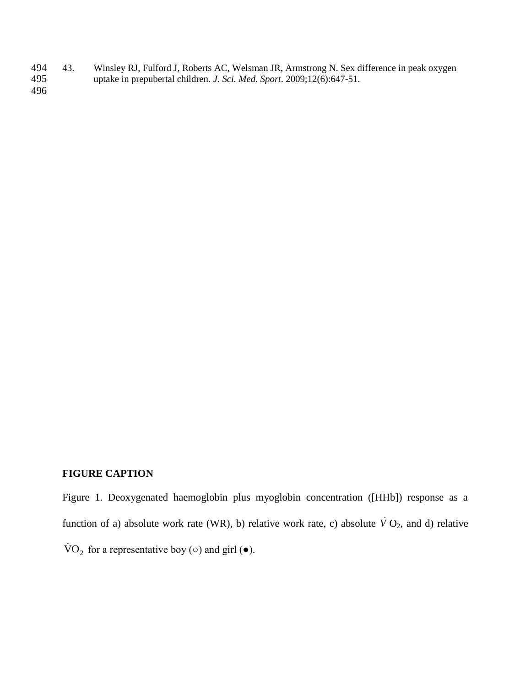494 43. Winsley RJ, Fulford J, Roberts AC, Welsman JR, Armstrong N. Sex difference in peak oxygen uptake in prepubertal children. *J. Sci. Med. Sport.* 2009;12(6):647-51. uptake in prepubertal children. *J. Sci. Med. Sport.* 2009;12(6):647-51.

496

# **FIGURE CAPTION**

Figure 1. Deoxygenated haemoglobin plus myoglobin concentration ([HHb]) response as a function of a) absolute work rate (WR), b) relative work rate, c) absolute  $\dot{V}O_2$ , and d) relative  $\text{VO}_2$  for a representative boy ( $\circ$ ) and girl ( $\bullet$ ).